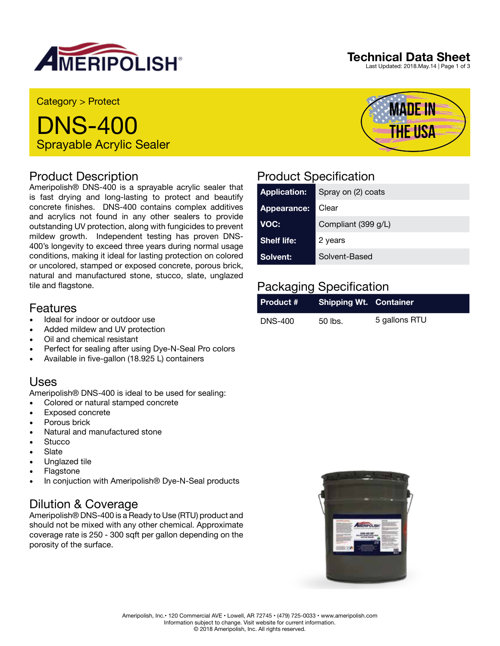

### **Technical Data Sheet**

**MADE IN** 

**THE USA** 

Last Updated: 2018.May.14 | Page 1 of 3

Category > Protect

DNS-400 Sprayable Acrylic Sealer

#### Product Description

Ameripolish® DNS-400 is a sprayable acrylic sealer that is fast drying and long-lasting to protect and beautify concrete finishes. DNS-400 contains complex additives and acrylics not found in any other sealers to provide outstanding UV protection, along with fungicides to prevent mildew growth. Independent testing has proven DNS-400's longevity to exceed three years during normal usage conditions, making it ideal for lasting protection on colored or uncolored, stamped or exposed concrete, porous brick, natural and manufactured stone, stucco, slate, unglazed tile and flagstone.

#### Features

- Ideal for indoor or outdoor use
- Added mildew and UV protection
- Oil and chemical resistant
- Perfect for sealing after using Dye-N-Seal Pro colors
- Available in five-gallon (18.925 L) containers

#### Uses

Ameripolish® DNS-400 is ideal to be used for sealing:

- Colored or natural stamped concrete
- Exposed concrete
- Porous brick
- Natural and manufactured stone
- Stucco
- **Slate**
- Unglazed tile
- **Flagstone**
- In conjuction with Ameripolish® Dye-N-Seal products

## Dilution & Coverage

Ameripolish® DNS-400 is a Ready to Use (RTU) product and should not be mixed with any other chemical. Approximate coverage rate is 250 - 300 sqft per gallon depending on the porosity of the surface.

# Product Specification

| <b>Application:</b> | Spray on (2) coats  |
|---------------------|---------------------|
| Appearance:         | Clear               |
| VOC:                | Compliant (399 g/L) |
| Shelf life:         | 2 years             |
| Solvent:            | Solvent-Based       |

# Packaging Specification

| <b>Product # Shipping Wt. Container</b> |         |               |
|-----------------------------------------|---------|---------------|
| <b>DNS-400</b>                          | 50 lbs. | 5 gallons RTU |

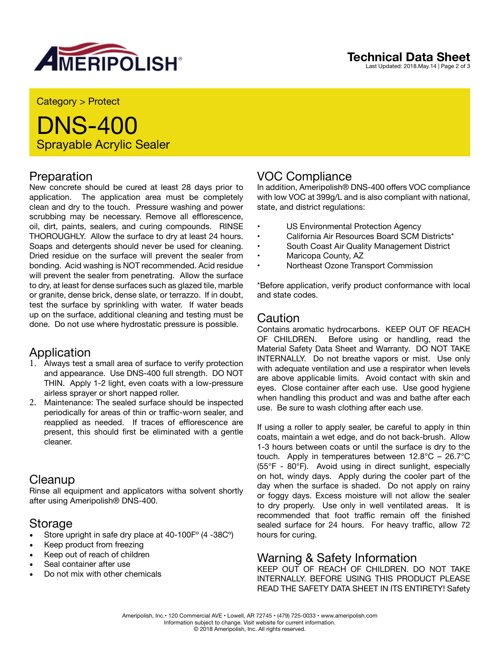

Category > Protect

# DNS-400 Sprayable Acrylic Sealer

#### Preparation

New concrete should be cured at least 28 days prior to application. The application area must be completely clean and dry to the touch. Pressure washing and power scrubbing may be necessary. Remove all efflorescence, oil, dirt, paints, sealers, and curing compounds. RINSE THOROUGHLY. Allow the surface to dry at least 24 hours. Soaps and detergents should never be used for cleaning. Dried residue on the surface will prevent the sealer from bonding. Acid washing is NOT recommended. Acid residue will prevent the sealer from penetrating. Allow the surface to dry, at least for dense surfaces such as glazed tile, marble or granite, dense brick, dense slate, or terrazzo. If in doubt, test the surface by sprinkling with water. If water beads up on the surface, additional cleaning and testing must be done. Do not use where hydrostatic pressure is possible.

#### Application

- 1. Always test a small area of surface to verify protection and appearance. Use DNS-400 full strength. DO NOT THIN. Apply 1-2 light, even coats with a low-pressure airless sprayer or short napped roller.
- 2. Maintenance: The sealed surface should be inspected periodically for areas of thin or traffic-worn sealer, and reapplied as needed. If traces of efflorescence are present, this should first be eliminated with a gentle cleaner.

#### **Cleanup**

Rinse all equipment and applicators witha solvent shortly after using Ameripolish® DNS-400.

## Storage

- Store upright in safe dry place at 40-100Fº (4 -38Cº)
- Keep product from freezing
- Keep out of reach of children
- Seal container after use
- Do not mix with other chemicals

## VOC Compliance

In addition, Ameripolish® DNS-400 offers VOC compliance with low VOC at 399g/L and is also compliant with national, state, and district regulations:

- US Environmental Protection Agency<br>• California Air Besources Board SCM I
- California Air Resources Board SCM Districts\*
- South Coast Air Quality Management District
- Maricopa County, AZ
- Northeast Ozone Transport Commission

\*Before application, verify product conformance with local and state codes.

#### Caution

Contains aromatic hydrocarbons. KEEP OUT OF REACH OF CHILDREN. Before using or handling, read the Material Safety Data Sheet and Warranty. DO NOT TAKE INTERNALLY. Do not breathe vapors or mist. Use only with adequate ventilation and use a respirator when levels are above applicable limits. Avoid contact with skin and eyes. Close container after each use. Use good hygiene when handling this product and was and bathe after each use. Be sure to wash clothing after each use.

If using a roller to apply sealer, be careful to apply in thin coats, maintain a wet edge, and do not back-brush. Allow 1-3 hours between coats or until the surface is dry to the touch. Apply in temperatures between 12.8°C – 26.7°C (55°F - 80°F). Avoid using in direct sunlight, especially on hot, windy days. Apply during the cooler part of the day when the surface is shaded. Do not apply on rainy or foggy days. Excess moisture will not allow the sealer to dry properly. Use only in well ventilated areas. It is recommended that foot traffic remain off the finished sealed surface for 24 hours. For heavy traffic, allow 72 hours for curing.

#### Warning & Safety Information

KEEP OUT OF REACH OF CHILDREN. DO NOT TAKE INTERNALLY. BEFORE USING THIS PRODUCT PLEASE READ THE SAFETY DATA SHEET IN ITS ENTIRETY! Safety